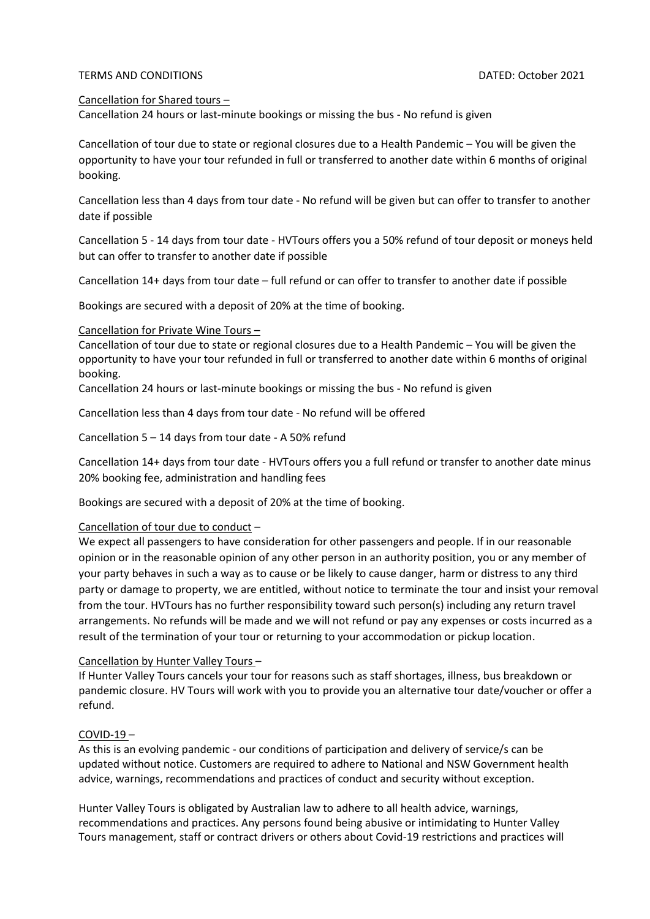### TERMS AND CONDITIONS DATED: October 2021

### Cancellation for Shared tours –

Cancellation 24 hours or last-minute bookings or missing the bus - No refund is given

Cancellation of tour due to state or regional closures due to a Health Pandemic – You will be given the opportunity to have your tour refunded in full or transferred to another date within 6 months of original booking.

Cancellation less than 4 days from tour date - No refund will be given but can offer to transfer to another date if possible

Cancellation 5 - 14 days from tour date - HVTours offers you a 50% refund of tour deposit or moneys held but can offer to transfer to another date if possible

Cancellation 14+ days from tour date – full refund or can offer to transfer to another date if possible

Bookings are secured with a deposit of 20% at the time of booking.

### Cancellation for Private Wine Tours –

Cancellation of tour due to state or regional closures due to a Health Pandemic – You will be given the opportunity to have your tour refunded in full or transferred to another date within 6 months of original booking.

Cancellation 24 hours or last-minute bookings or missing the bus - No refund is given

Cancellation less than 4 days from tour date - No refund will be offered

Cancellation 5 – 14 days from tour date - A 50% refund

Cancellation 14+ days from tour date - HVTours offers you a full refund or transfer to another date minus 20% booking fee, administration and handling fees

Bookings are secured with a deposit of 20% at the time of booking.

## Cancellation of tour due to conduct –

We expect all passengers to have consideration for other passengers and people. If in our reasonable opinion or in the reasonable opinion of any other person in an authority position, you or any member of your party behaves in such a way as to cause or be likely to cause danger, harm or distress to any third party or damage to property, we are entitled, without notice to terminate the tour and insist your removal from the tour. HVTours has no further responsibility toward such person(s) including any return travel arrangements. No refunds will be made and we will not refund or pay any expenses or costs incurred as a result of the termination of your tour or returning to your accommodation or pickup location.

## Cancellation by Hunter Valley Tours –

If Hunter Valley Tours cancels your tour for reasons such as staff shortages, illness, bus breakdown or pandemic closure. HV Tours will work with you to provide you an alternative tour date/voucher or offer a refund.

#### COVID-19 –

As this is an evolving pandemic - our conditions of participation and delivery of service/s can be updated without notice. Customers are required to adhere to National and NSW Government health advice, warnings, recommendations and practices of conduct and security without exception.

Hunter Valley Tours is obligated by Australian law to adhere to all health advice, warnings, recommendations and practices. Any persons found being abusive or intimidating to Hunter Valley Tours management, staff or contract drivers or others about Covid-19 restrictions and practices will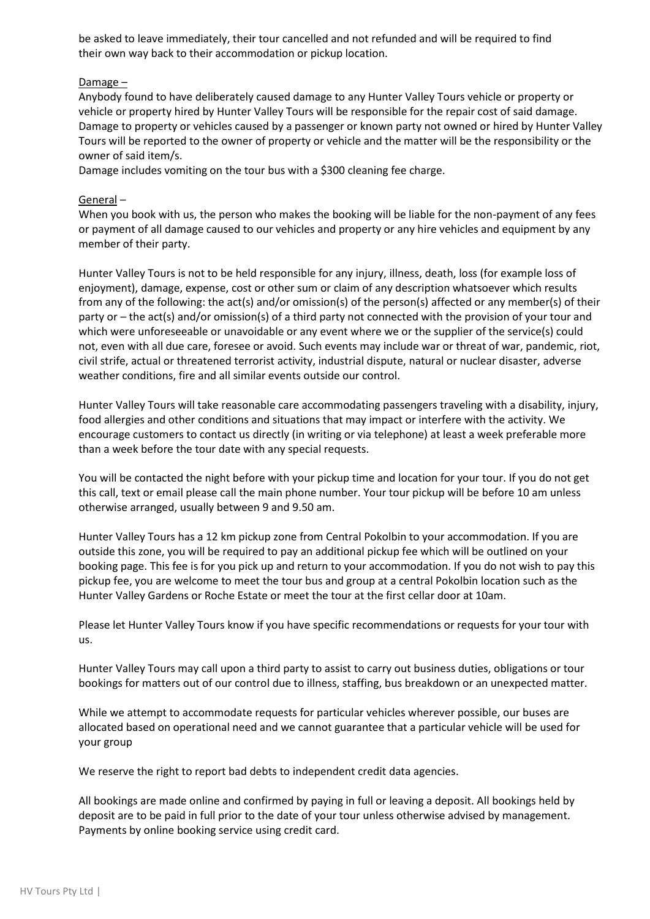be asked to leave immediately, their tour cancelled and not refunded and will be required to find their own way back to their accommodation or pickup location.

Damage –

Anybody found to have deliberately caused damage to any Hunter Valley Tours vehicle or property or vehicle or property hired by Hunter Valley Tours will be responsible for the repair cost of said damage. Damage to property or vehicles caused by a passenger or known party not owned or hired by Hunter Valley Tours will be reported to the owner of property or vehicle and the matter will be the responsibility or the owner of said item/s.

Damage includes vomiting on the tour bus with a \$300 cleaning fee charge.

# General –

When you book with us, the person who makes the booking will be liable for the non-payment of any fees or payment of all damage caused to our vehicles and property or any hire vehicles and equipment by any member of their party.

Hunter Valley Tours is not to be held responsible for any injury, illness, death, loss (for example loss of enjoyment), damage, expense, cost or other sum or claim of any description whatsoever which results from any of the following: the act(s) and/or omission(s) of the person(s) affected or any member(s) of their party or – the act(s) and/or omission(s) of a third party not connected with the provision of your tour and which were unforeseeable or unavoidable or any event where we or the supplier of the service(s) could not, even with all due care, foresee or avoid. Such events may include war or threat of war, pandemic, riot, civil strife, actual or threatened terrorist activity, industrial dispute, natural or nuclear disaster, adverse weather conditions, fire and all similar events outside our control.

Hunter Valley Tours will take reasonable care accommodating passengers traveling with a disability, injury, food allergies and other conditions and situations that may impact or interfere with the activity. We encourage customers to contact us directly (in writing or via telephone) at least a week preferable more than a week before the tour date with any special requests.

You will be contacted the night before with your pickup time and location for your tour. If you do not get this call, text or email please call the main phone number. Your tour pickup will be before 10 am unless otherwise arranged, usually between 9 and 9.50 am.

Hunter Valley Tours has a 12 km pickup zone from Central Pokolbin to your accommodation. If you are outside this zone, you will be required to pay an additional pickup fee which will be outlined on your booking page. This fee is for you pick up and return to your accommodation. If you do not wish to pay this pickup fee, you are welcome to meet the tour bus and group at a central Pokolbin location such as the Hunter Valley Gardens or Roche Estate or meet the tour at the first cellar door at 10am.

Please let Hunter Valley Tours know if you have specific recommendations or requests for your tour with us.

Hunter Valley Tours may call upon a third party to assist to carry out business duties, obligations or tour bookings for matters out of our control due to illness, staffing, bus breakdown or an unexpected matter.

While we attempt to accommodate requests for particular vehicles wherever possible, our buses are allocated based on operational need and we cannot guarantee that a particular vehicle will be used for your group

We reserve the right to report bad debts to independent credit data agencies.

All bookings are made online and confirmed by paying in full or leaving a deposit. All bookings held by deposit are to be paid in full prior to the date of your tour unless otherwise advised by management. Payments by online booking service using credit card.